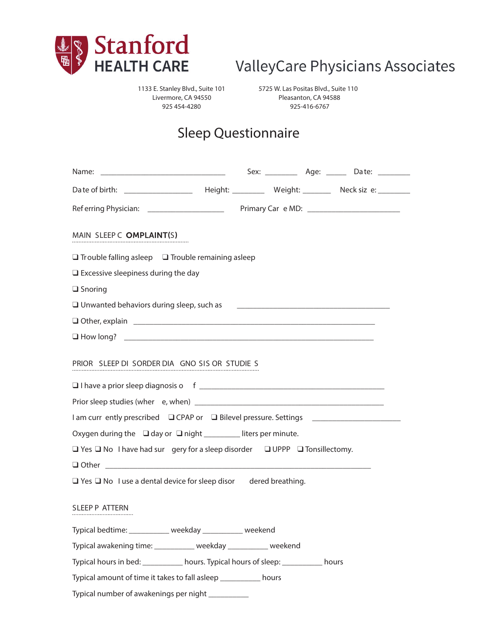

# ValleyCare Physicians Associates

1133 E. Stanley Blvd., Suite 101 Livermore, CA 94550 925 454-4280

5725 W. Las Positas Blvd., Suite 110 Pleasanton, CA 94588 925-416-6767

# Sleep Questionnaire

|                                                                                                |  | Sex: ______________ Age: ________ Date: __________ |
|------------------------------------------------------------------------------------------------|--|----------------------------------------------------|
|                                                                                                |  |                                                    |
|                                                                                                |  |                                                    |
| MAIN SLEEP C OMPLAINT(S)                                                                       |  |                                                    |
|                                                                                                |  |                                                    |
| $\Box$ Trouble falling asleep $\Box$ Trouble remaining asleep                                  |  |                                                    |
| $\Box$ Excessive sleepiness during the day                                                     |  |                                                    |
| $\square$ Snoring                                                                              |  |                                                    |
| □ Unwanted behaviors during sleep, such as<br>□ Unwanted behaviors during sleep, such as<br>□  |  |                                                    |
|                                                                                                |  |                                                    |
|                                                                                                |  |                                                    |
| PRIOR SLEEP DI SORDER DIA GNO SIS OR STUDIE S                                                  |  |                                                    |
|                                                                                                |  |                                                    |
| I am curr ently prescribed □ CPAP or □ Bilevel pressure. Settings _______________              |  |                                                    |
| Oxygen during the $\Box$ day or $\Box$ night _________ liters per minute.                      |  |                                                    |
| $\Box$ Yes $\Box$ No I have had surgery for a sleep disorder $\Box$ UPPP $\Box$ Tonsillectomy. |  |                                                    |
|                                                                                                |  |                                                    |
| $\Box$ Yes $\Box$ No I use a dental device for sleep disor dered breathing.                    |  |                                                    |
| SLEEP P ATTERN                                                                                 |  |                                                    |
| Typical bedtime: ___________ weekday __________ weekend                                        |  |                                                    |
| Typical awakening time: ___________ weekday __________ weekend                                 |  |                                                    |
| Typical hours in bed: ____________ hours. Typical hours of sleep: ____________ hours           |  |                                                    |
| Typical amount of time it takes to fall asleep ___________ hours                               |  |                                                    |
| Typical number of awakenings per night _________                                               |  |                                                    |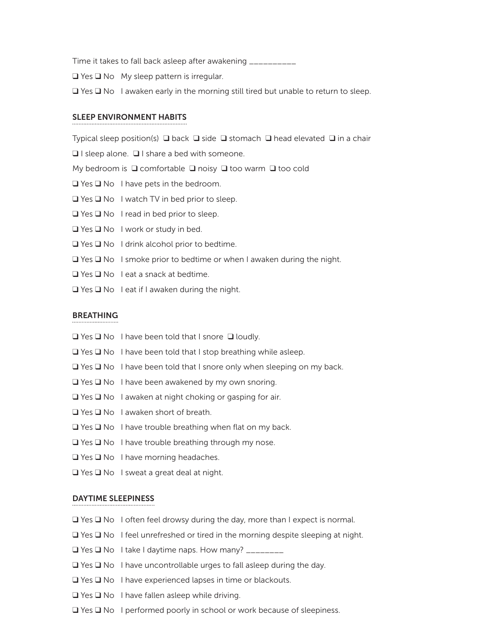Time it takes to fall back asleep after awakening \_\_\_\_\_\_\_\_\_\_

 $\Box$  Yes  $\Box$  No My sleep pattern is irregular.

 $\Box$  Yes  $\Box$  No I awaken early in the morning still tired but unable to return to sleep.

#### sleep environment habits

Typical sleep position(s)  $\Box$  back  $\Box$  side  $\Box$  stomach  $\Box$  head elevated  $\Box$  in a chair

 $\Box$  I sleep alone.  $\Box$  I share a bed with someone.

My bedroom is  $\Box$  comfortable  $\Box$  noisy  $\Box$  too warm  $\Box$  too cold

- $\Box$  Yes  $\Box$  No I have pets in the bedroom.
- $\Box$  Yes  $\Box$  No I watch TV in bed prior to sleep.
- $\Box$  Yes  $\Box$  No I read in bed prior to sleep.
- $\Box$  Yes  $\Box$  No I work or study in bed.
- $\Box$  Yes  $\Box$  No I drink alcohol prior to bedtime.
- $\Box$  Yes  $\Box$  No I smoke prior to bedtime or when I awaken during the night.
- $\Box$  Yes  $\Box$  No I eat a snack at bedtime.
- $\Box$  Yes  $\Box$  No I eat if I awaken during the night.

#### **BREATHING**

- $\Box$  Yes  $\Box$  No I have been told that I snore  $\Box$  loudly.
- $\Box$  Yes  $\Box$  No I have been told that I stop breathing while asleep.
- $\Box$  Yes  $\Box$  No I have been told that I snore only when sleeping on my back.
- $\Box$  Yes  $\Box$  No I have been awakened by my own snoring.
- $\Box$  Yes  $\Box$  No I awaken at night choking or gasping for air.
- $\Box$  Yes  $\Box$  No I awaken short of breath.
- $\Box$  Yes  $\Box$  No I have trouble breathing when flat on my back.
- $\Box$  Yes  $\Box$  No I have trouble breathing through my nose.
- $\Box$  Yes  $\Box$  No I have morning headaches.
- $\Box$  Yes  $\Box$  No I sweat a great deal at night.

#### Daytime Sleepiness

- $\Box$  Yes  $\Box$  No I often feel drowsy during the day, more than I expect is normal.
- $\Box$  Yes  $\Box$  No I feel unrefreshed or tired in the morning despite sleeping at night.
- $\Box$  Yes  $\Box$  No I take I daytime naps. How many?  $\Box$
- $\Box$  Yes  $\Box$  No I have uncontrollable urges to fall asleep during the day.
- $\Box$  Yes  $\Box$  No I have experienced lapses in time or blackouts.
- $\Box$  Yes  $\Box$  No I have fallen asleep while driving.
- $\Box$  Yes  $\Box$  No I performed poorly in school or work because of sleepiness.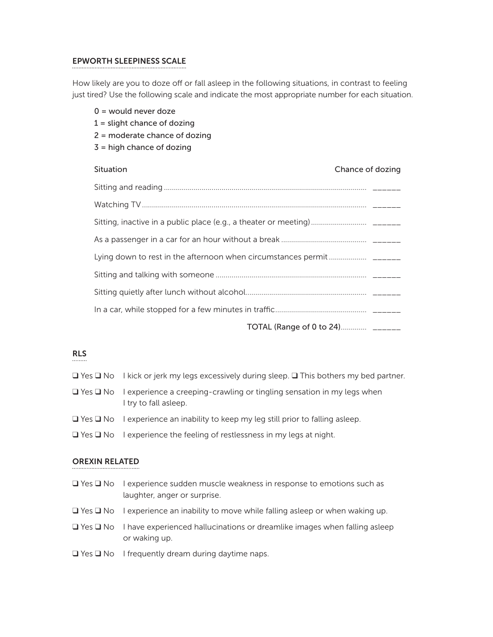# Epworth sleepiness scale

How likely are you to doze off or fall asleep in the following situations, in contrast to feeling just tired? Use the following scale and indicate the most appropriate number for each situation.

|  | $0 =$ would never doze<br>$1 =$ slight chance of dozing<br>$2$ = moderate chance of dozing |  |  |
|--|--------------------------------------------------------------------------------------------|--|--|
|  | $3$ = high chance of dozing                                                                |  |  |
|  | Situation<br>Chance of dozing                                                              |  |  |
|  |                                                                                            |  |  |
|  |                                                                                            |  |  |
|  |                                                                                            |  |  |
|  |                                                                                            |  |  |
|  |                                                                                            |  |  |
|  |                                                                                            |  |  |
|  |                                                                                            |  |  |
|  |                                                                                            |  |  |
|  | TOTAL (Range of 0 to 24) ______                                                            |  |  |

# RLS

- $\Box$  Yes  $\Box$  No I kick or jerk my legs excessively during sleep.  $\Box$  This bothers my bed partner.
- $\Box$  Yes  $\Box$  No I experience a creeping-crawling or tingling sensation in my legs when I try to fall asleep.
- $\Box$  Yes  $\Box$  No I experience an inability to keep my leg still prior to falling asleep.
- $\Box$  Yes  $\Box$  No I experience the feeling of restlessness in my legs at night.

# Orexin Related

- $\Box$  Yes  $\Box$  No I experience sudden muscle weakness in response to emotions such as laughter, anger or surprise.
- $\Box$  Yes  $\Box$  No I experience an inability to move while falling asleep or when waking up.
- $\Box$  Yes  $\Box$  No I have experienced hallucinations or dreamlike images when falling asleep or waking up.
- $\Box$  Yes  $\Box$  No I frequently dream during daytime naps.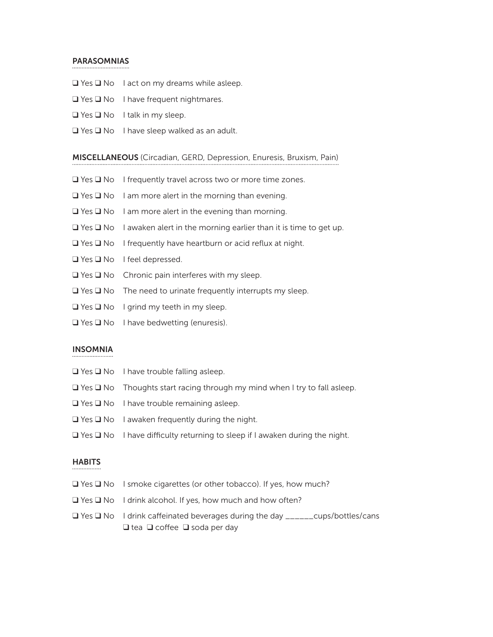#### **PARASOMNIAS**

- $\Box$  Yes  $\Box$  No I act on my dreams while asleep.
- $\Box$  Yes  $\Box$  No I have frequent nightmares.
- $\Box$  Yes  $\Box$  No I talk in my sleep.
- $\Box$  Yes  $\Box$  No I have sleep walked as an adult.

#### miscellaneous (Circadian, GERD, Depression, Enuresis, Bruxism, Pain)

- $\Box$  Yes  $\Box$  No I frequently travel across two or more time zones.
- $\Box$  Yes  $\Box$  No I am more alert in the morning than evening.
- $\Box$  Yes  $\Box$  No I am more alert in the evening than morning.
- $\Box$  Yes  $\Box$  No I awaken alert in the morning earlier than it is time to get up.
- $\Box$  Yes  $\Box$  No I frequently have heartburn or acid reflux at night.
- $\Box$  Yes  $\Box$  No I feel depressed.
- $\Box$  Yes  $\Box$  No Chronic pain interferes with my sleep.
- $\Box$  Yes  $\Box$  No The need to urinate frequently interrupts my sleep.
- $\Box$  Yes  $\Box$  No I grind my teeth in my sleep.
- $\Box$  Yes  $\Box$  No I have bedwetting (enuresis).

## Insomnia

- $\Box$  Yes  $\Box$  No I have trouble falling asleep.
- $\Box$  Yes  $\Box$  No Thoughts start racing through my mind when I try to fall asleep.
- $\Box$  Yes  $\Box$  No I have trouble remaining asleep.
- $\Box$  Yes  $\Box$  No I awaken frequently during the night.
- $\Box$  Yes  $\Box$  No I have difficulty returning to sleep if I awaken during the night.

#### **HABITS**

- $\Box$  Yes  $\Box$  No I smoke cigarettes (or other tobacco). If yes, how much?
- $\Box$  Yes  $\Box$  No I drink alcohol. If yes, how much and how often?
- q Yes q No I drink caffeinated beverages during the day \_\_\_\_\_\_cups/bottles/cans  $\Box$  tea  $\Box$  coffee  $\Box$  soda per day